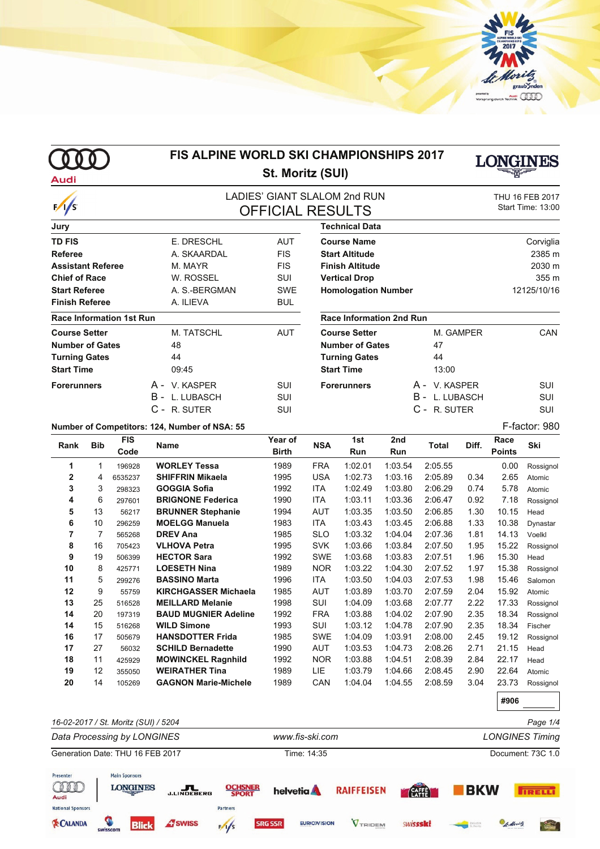

000 **Audi** 

 $\sqrt{s}$ 

## **FIS ALPINE WORLD SKI CHAMPIONSHIPS 2017 St. Moritz (SUI)**



**#906**

### LADIES' GIANT SLALOM 2nd RUN THU 16 FEB 2017<br>
CELICIAL RESLILTS Start Time: 13:00 **OFFICIAL RESULTS**

| Jury                            |                |            |
|---------------------------------|----------------|------------|
| <b>TD FIS</b>                   | E. DRESCHL     | AUT        |
| Referee                         | A. SKAARDAL    | <b>FIS</b> |
| <b>Assistant Referee</b>        | M. MAYR        | <b>FIS</b> |
| <b>Chief of Race</b>            | W. ROSSEL      | SUI        |
| <b>Start Referee</b>            | A. S.-BERGMAN  | <b>SWE</b> |
| <b>Finish Referee</b>           | A. ILIEVA      | <b>BUL</b> |
| <b>Race Information 1st Run</b> |                |            |
| <b>Course Setter</b>            | M. TATSCHL     | AUT        |
| <b>Number of Gates</b>          | 48             |            |
| <b>Turning Gates</b>            | 44             |            |
| <b>Start Time</b>               | 09:45          |            |
| <b>Forerunners</b>              | A - V KASPFR   | SUI        |
|                                 | B - L. LUBASCH | SUI        |
|                                 | C - R. SUTER   | SUI        |

| <b>Technical Data</b>      |             |
|----------------------------|-------------|
| <b>Course Name</b>         | Corviglia   |
| <b>Start Altitude</b>      | 2385 m      |
| <b>Finish Altitude</b>     | 2030 m      |
| <b>Vertical Drop</b>       | 355m        |
| <b>Homologation Number</b> | 12125/10/16 |

#### **Race Information 2nd Run**

| <b>Course Setter</b>   | M. GAMPER      | CAN |
|------------------------|----------------|-----|
| <b>Number of Gates</b> | 47             |     |
| <b>Turning Gates</b>   | 44             |     |
| Start Time             | 13:00          |     |
| Forerunners            | A - V KASPFR   | SUI |
|                        | B - L. LUBASCH | SUI |
|                        | C - R. SUTER   | SUI |
|                        |                |     |

**Number of Competitors: 124, Number of NSA: 55** F-factor: 980

| Rank         | <b>Bib</b>     | <b>FIS</b><br>Code | Name                        | Year of<br>Birth | <b>NSA</b> | 1st<br>Run | 2 <sub>nd</sub><br>Run | Total   | Diff. | Race<br><b>Points</b> | Ski       |
|--------------|----------------|--------------------|-----------------------------|------------------|------------|------------|------------------------|---------|-------|-----------------------|-----------|
| 1            | 1              | 196928             | <b>WORLEY Tessa</b>         | 1989             | <b>FRA</b> | 1:02.01    | 1:03.54                | 2:05.55 |       | 0.00                  | Rossignol |
| $\mathbf{2}$ | 4              | 6535237            | <b>SHIFFRIN Mikaela</b>     | 1995             | <b>USA</b> | 1:02.73    | 1:03.16                | 2:05.89 | 0.34  | 2.65                  | Atomic    |
| 3            | 3              | 298323             | <b>GOGGIA Sofia</b>         | 1992             | <b>ITA</b> | 1:02.49    | 1:03.80                | 2:06.29 | 0.74  | 5.78                  | Atomic    |
| 4            | 6              | 297601             | <b>BRIGNONE Federica</b>    | 1990             | ITA        | 1:03.11    | 1:03.36                | 2:06.47 | 0.92  | 7.18                  | Rossignol |
| 5            | 13             | 56217              | <b>BRUNNER Stephanie</b>    | 1994             | AUT        | 1:03.35    | 1:03.50                | 2:06.85 | 1.30  | 10.15                 | Head      |
| 6            | 10             | 296259             | <b>MOELGG Manuela</b>       | 1983             | ITA        | 1:03.43    | 1:03.45                | 2:06.88 | 1.33  | 10.38                 | Dynastar  |
| 7            | $\overline{7}$ | 565268             | <b>DREV Ana</b>             | 1985             | <b>SLO</b> | 1:03.32    | 1:04.04                | 2:07.36 | 1.81  | 14.13                 | Voelkl    |
| 8            | 16             | 705423             | <b>VLHOVA Petra</b>         | 1995             | <b>SVK</b> | 1:03.66    | 1:03.84                | 2:07.50 | 1.95  | 15.22                 | Rossignol |
| 9            | 19             | 506399             | <b>HECTOR Sara</b>          | 1992             | <b>SWE</b> | 1:03.68    | 1:03.83                | 2:07.51 | 1.96  | 15.30                 | Head      |
| 10           | 8              | 425771             | <b>LOESETH Nina</b>         | 1989             | <b>NOR</b> | 1:03.22    | 1:04.30                | 2:07.52 | 1.97  | 15.38                 | Rossignol |
| 11           | 5              | 299276             | <b>BASSINO Marta</b>        | 1996             | <b>ITA</b> | 1:03.50    | 1:04.03                | 2:07.53 | 1.98  | 15.46                 | Salomon   |
| 12           | 9              | 55759              | <b>KIRCHGASSER Michaela</b> | 1985             | <b>AUT</b> | 1:03.89    | 1:03.70                | 2:07.59 | 2.04  | 15.92                 | Atomic    |
| 13           | 25             | 516528             | <b>MEILLARD Melanie</b>     | 1998             | SUI        | 1:04.09    | 1:03.68                | 2:07.77 | 2.22  | 17.33                 | Rossignol |
| 14           | 20             | 197319             | <b>BAUD MUGNIER Adeline</b> | 1992             | <b>FRA</b> | 1:03.88    | 1:04.02                | 2:07.90 | 2.35  | 18.34                 | Rossignol |
| 14           | 15             | 516268             | <b>WILD Simone</b>          | 1993             | <b>SUI</b> | 1:03.12    | 1:04.78                | 2:07.90 | 2.35  | 18.34                 | Fischer   |
| 16           | 17             | 505679             | <b>HANSDOTTER Frida</b>     | 1985             | <b>SWE</b> | 1:04.09    | 1:03.91                | 2:08.00 | 2.45  | 19.12                 | Rossignol |
| 17           | 27             | 56032              | <b>SCHILD Bernadette</b>    | 1990             | <b>AUT</b> | 1:03.53    | 1:04.73                | 2:08.26 | 2.71  | 21.15                 | Head      |
| 18           | 11             | 425929             | <b>MOWINCKEL Ragnhild</b>   | 1992             | <b>NOR</b> | 1:03.88    | 1:04.51                | 2:08.39 | 2.84  | 22.17                 | Head      |
| 19           | 12             | 355050             | <b>WEIRATHER Tina</b>       | 1989             | LIE        | 1:03.79    | 1:04.66                | 2:08.45 | 2.90  | 22.64                 | Atomic    |
| 20           | 14             | 105269             | <b>GAGNON Marie-Michele</b> | 1989             | CAN        | 1:04.04    | 1:04.55                | 2:08.59 | 3.04  | 23.73                 | Rossignol |

*16-02-2017 / St. Moritz (SUI) / 5204 Page 1/4 Data Processing by LONGINES www.fis-ski.com LONGINES Timing* Generation Date: THU 16 FEB 2017 Time: 14:35 Document: 73C 1.0 Presenter **Main Sponsors CODE LONGINES** J.LINDEBERG **OCHSNER** helvetia **A RAIFFEISEN BKW CAFFE TRELLI National Sponsors** Partners **EXCALANDA A** swiss **SRG SSR EURIOVISION** VTRIDEM swissski **Blick**  $\frac{1}{5}$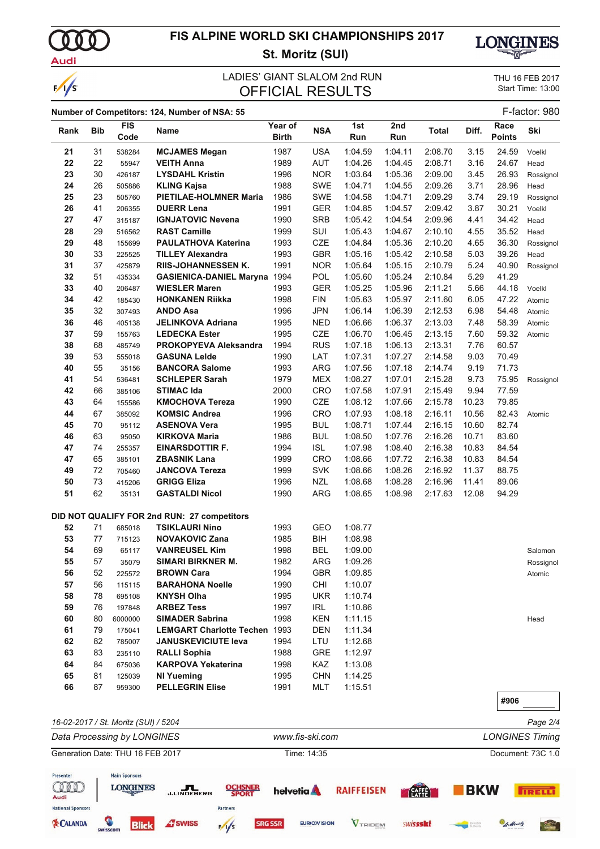$\Omega$ Audi

 $\sqrt{s}$ 

# **FIS ALPINE WORLD SKI CHAMPIONSHIPS 2017 St. Moritz (SUI)**



### LADIES' GIANT SLALOM 2nd RUN<br>
CELOIAL DESLILTS
Start Time: 13:00 **OFFICIAL RESULTS**

### **Number of Competitors: 124, Number of NSA: 55** F-factor: 980

|           |     | <b>FIS</b>                           | $\frac{1}{2}$                               | Year of      |                 | 1st     | 2nd     |              |       | Race          |                        |
|-----------|-----|--------------------------------------|---------------------------------------------|--------------|-----------------|---------|---------|--------------|-------|---------------|------------------------|
| Rank      | Bib | Code                                 | <b>Name</b>                                 | <b>Birth</b> | <b>NSA</b>      | Run     | Run     | <b>Total</b> | Diff. | <b>Points</b> | Ski                    |
| 21        | 31  | 538284                               | <b>MCJAMES Megan</b>                        | 1987         | <b>USA</b>      | 1:04.59 | 1:04.11 | 2:08.70      | 3.15  | 24.59         | Voelkl                 |
| 22        | 22  | 55947                                | <b>VEITH Anna</b>                           | 1989         | <b>AUT</b>      | 1:04.26 | 1:04.45 | 2:08.71      | 3.16  | 24.67         | Head                   |
| 23        | 30  | 426187                               | <b>LYSDAHL Kristin</b>                      | 1996         | <b>NOR</b>      | 1:03.64 | 1:05.36 | 2:09.00      | 3.45  | 26.93         | Rossignol              |
| 24        | 26  | 505886                               | <b>KLING Kajsa</b>                          | 1988         | <b>SWE</b>      | 1:04.71 | 1:04.55 | 2:09.26      | 3.71  | 28.96         | Head                   |
| 25        | 23  | 505760                               | <b>PIETILAE-HOLMNER Maria</b>               | 1986         | SWE             | 1:04.58 | 1:04.71 | 2:09.29      | 3.74  | 29.19         | Rossignol              |
| 26        | 41  | 206355                               | <b>DUERR Lena</b>                           | 1991         | <b>GER</b>      | 1:04.85 | 1:04.57 | 2:09.42      | 3.87  | 30.21         | Voelkl                 |
| 27        | 47  | 315187                               | <b>IGNJATOVIC Nevena</b>                    | 1990         | <b>SRB</b>      | 1:05.42 | 1:04.54 | 2:09.96      | 4.41  | 34.42         | Head                   |
| 28        | 29  | 516562                               | <b>RAST Camille</b>                         | 1999         | SUI             | 1:05.43 | 1:04.67 | 2:10.10      | 4.55  | 35.52         | Head                   |
| 29        | 48  | 155699                               | <b>PAULATHOVA Katerina</b>                  | 1993         | <b>CZE</b>      | 1:04.84 | 1:05.36 | 2:10.20      | 4.65  | 36.30         | Rossignol              |
| 30        | 33  | 225525                               | <b>TILLEY Alexandra</b>                     | 1993         | <b>GBR</b>      | 1:05.16 | 1:05.42 | 2:10.58      | 5.03  | 39.26         | Head                   |
| 31        | 37  | 425879                               | <b>RIIS-JOHANNESSEN K.</b>                  | 1991         | <b>NOR</b>      | 1:05.64 | 1:05.15 | 2:10.79      | 5.24  | 40.90         | Rossignol              |
| 32        | 51  | 435334                               | <b>GASIENICA-DANIEL Maryna 1994</b>         |              | POL             | 1:05.60 | 1:05.24 | 2:10.84      | 5.29  | 41.29         |                        |
| 33        | 40  | 206487                               | <b>WIESLER Maren</b>                        | 1993         | <b>GER</b>      | 1:05.25 | 1:05.96 | 2:11.21      | 5.66  | 44.18         | Voelkl                 |
| 34        | 42  | 185430                               | <b>HONKANEN Riikka</b>                      | 1998         | <b>FIN</b>      | 1:05.63 | 1:05.97 | 2:11.60      | 6.05  | 47.22         | Atomic                 |
| 35        | 32  | 307493                               | <b>ANDO Asa</b>                             | 1996         | <b>JPN</b>      | 1:06.14 | 1:06.39 | 2:12.53      | 6.98  | 54.48         | Atomic                 |
| 36        | 46  | 405138                               | <b>JELINKOVA Adriana</b>                    | 1995         | <b>NED</b>      | 1:06.66 | 1:06.37 | 2:13.03      | 7.48  | 58.39         | Atomic                 |
| 37        | 59  | 155763                               | <b>LEDECKA Ester</b>                        | 1995         | CZE             | 1:06.70 | 1:06.45 | 2:13.15      | 7.60  | 59.32         | Atomic                 |
| 38        | 68  | 485749                               | <b>PROKOPYEVA Aleksandra</b>                | 1994         | <b>RUS</b>      | 1:07.18 | 1:06.13 | 2:13.31      | 7.76  | 60.57         |                        |
| 39        | 53  | 555018                               | <b>GASUNA Lelde</b>                         | 1990         | LAT             | 1:07.31 | 1:07.27 | 2:14.58      | 9.03  | 70.49         |                        |
| 40        | 55  | 35156                                | <b>BANCORA Salome</b>                       | 1993         | <b>ARG</b>      | 1:07.56 | 1:07.18 | 2:14.74      | 9.19  | 71.73         |                        |
| 41        | 54  | 536481                               | <b>SCHLEPER Sarah</b>                       | 1979         | <b>MEX</b>      | 1:08.27 | 1:07.01 | 2:15.28      | 9.73  | 75.95         | Rossignol              |
| 42        | 66  | 385106                               | <b>STIMAC Ida</b>                           | 2000         | <b>CRO</b>      | 1:07.58 | 1:07.91 | 2:15.49      | 9.94  | 77.59         |                        |
| 43        | 64  | 155586                               | <b>KMOCHOVA Tereza</b>                      | 1990         | <b>CZE</b>      | 1:08.12 | 1:07.66 | 2:15.78      | 10.23 | 79.85         |                        |
| 44        | 67  | 385092                               | <b>KOMSIC Andrea</b>                        | 1996         | CRO             | 1:07.93 | 1:08.18 | 2:16.11      | 10.56 | 82.43         | Atomic                 |
| 45        | 70  | 95112                                | <b>ASENOVA Vera</b>                         | 1995         | <b>BUL</b>      | 1:08.71 | 1:07.44 | 2:16.15      | 10.60 | 82.74         |                        |
| 46        | 63  | 95050                                | <b>KIRKOVA Maria</b>                        | 1986         | <b>BUL</b>      | 1:08.50 | 1:07.76 | 2:16.26      | 10.71 | 83.60         |                        |
| 47        | 74  | 255357                               | <b>EINARSDOTTIR F.</b>                      | 1994         | <b>ISL</b>      | 1:07.98 | 1:08.40 | 2:16.38      | 10.83 | 84.54         |                        |
| 47        | 65  | 385101                               | <b>ZBASNIK Lana</b>                         | 1999         | CRO             | 1:08.66 | 1:07.72 | 2:16.38      | 10.83 | 84.54         |                        |
| 49        | 72  | 705460                               | <b>JANCOVA Tereza</b>                       | 1999         | <b>SVK</b>      | 1:08.66 | 1:08.26 | 2:16.92      | 11.37 | 88.75         |                        |
| 50        | 73  | 415206                               | <b>GRIGG Eliza</b>                          | 1996         | <b>NZL</b>      | 1:08.68 | 1:08.28 | 2:16.96      | 11.41 | 89.06         |                        |
| 51        | 62  | 35131                                | <b>GASTALDI Nicol</b>                       | 1990         | ARG             | 1:08.65 | 1:08.98 | 2:17.63      | 12.08 | 94.29         |                        |
|           |     |                                      |                                             |              |                 |         |         |              |       |               |                        |
|           |     |                                      | DID NOT QUALIFY FOR 2nd RUN: 27 competitors |              |                 |         |         |              |       |               |                        |
| 52        | 71  | 685018                               | <b>TSIKLAURI Nino</b>                       | 1993         | GEO             | 1:08.77 |         |              |       |               |                        |
| 53        | 77  | 715123                               | <b>NOVAKOVIC Zana</b>                       | 1985         | BIH             | 1:08.98 |         |              |       |               |                        |
| 54        | 69  | 65117                                | <b>VANREUSEL Kim</b>                        | 1998         | <b>BEL</b>      | 1:09.00 |         |              |       |               | Salomon                |
| 55        | 57  | 35079                                | <b>SIMARI BIRKNER M.</b>                    | 1982         | <b>ARG</b>      | 1:09.26 |         |              |       |               | Rossignol              |
| 56        | 52  | 225572                               | <b>BROWN Cara</b>                           | 1994         | <b>GBR</b>      | 1:09.85 |         |              |       |               | Atomic                 |
| 57        | 56  | 115115                               | <b>BARAHONA Noelle</b>                      | 1990         | <b>CHI</b>      | 1:10.07 |         |              |       |               |                        |
| 58        | 78  | 695108                               | <b>KNYSH Olha</b>                           | 1995         | <b>UKR</b>      | 1:10.74 |         |              |       |               |                        |
| 59        | 76  | 197848                               | <b>ARBEZ Tess</b>                           | 1997         | IRL             | 1:10.86 |         |              |       |               |                        |
| 60        | 80  | 6000000                              | <b>SIMADER Sabrina</b>                      | 1998         | KEN             | 1:11.15 |         |              |       |               | Head                   |
| 61        | 79  | 175041                               | <b>LEMGART Charlotte Techen</b>             | 1993         | DEN             | 1:11.34 |         |              |       |               |                        |
| 62        | 82  | 785007                               | <b>JANUSKEVICIUTE leva</b>                  | 1994         | LTU             | 1:12.68 |         |              |       |               |                        |
| 63        | 83  | 235110                               | <b>RALLI Sophia</b>                         | 1988         | GRE             | 1:12.97 |         |              |       |               |                        |
| 64        | 84  | 675036                               | <b>KARPOVA Yekaterina</b>                   | 1998         | KAZ             | 1:13.08 |         |              |       |               |                        |
| 65        | 81  | 125039                               | <b>NI Yueming</b>                           | 1995         | <b>CHN</b>      | 1:14.25 |         |              |       |               |                        |
| 66        | 87  | 959300                               | <b>PELLEGRIN Elise</b>                      | 1991         | MLT             | 1:15.51 |         |              |       |               |                        |
|           |     |                                      |                                             |              |                 |         |         |              |       | #906          |                        |
|           |     | 16-02-2017 / St. Moritz (SUI) / 5204 |                                             |              |                 |         |         |              |       |               | Page 2/4               |
|           |     | Data Processing by LONGINES          |                                             |              | www.fis-ski.com |         |         |              |       |               | <b>LONGINES Timing</b> |
|           |     | Generation Date: THU 16 FEB 2017     |                                             |              | Time: 14:35     |         |         |              |       |               | Document: 73C 1.0      |
| Presenter |     | <b>Main Sponsors</b>                 |                                             |              |                 |         |         |              |       |               |                        |

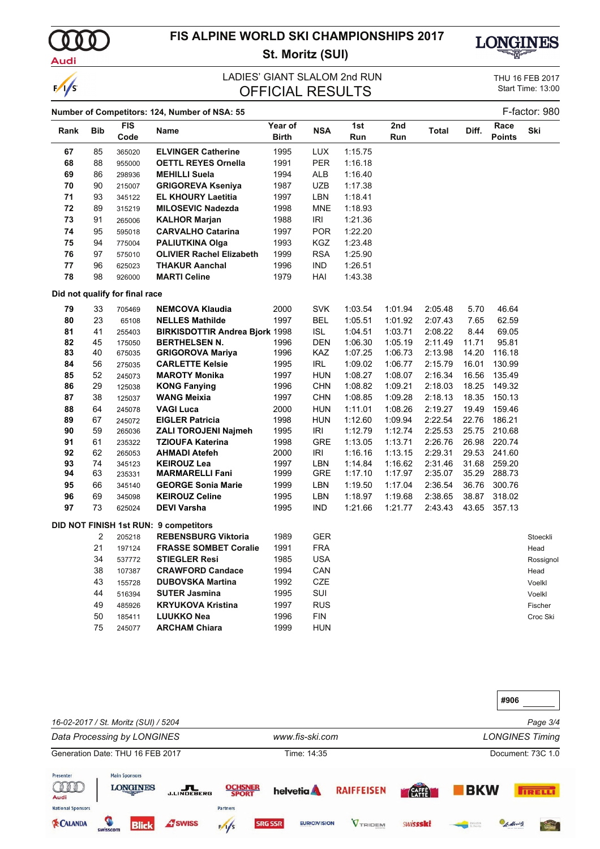Audi

 $\sqrt{s}$ 

## **FIS ALPINE WORLD SKI CHAMPIONSHIPS 2017 St. Moritz (SUI)**



### **OFFICIAL RESULTS** LADIES' GIANT SLALOM 2nd RUN

THU 16 FEB 2017

| F-factor: 980<br>Number of Competitors: 124, Number of NSA: 55 |            |                                |                                       |                         |            |            |            |         |       |                       |           |
|----------------------------------------------------------------|------------|--------------------------------|---------------------------------------|-------------------------|------------|------------|------------|---------|-------|-----------------------|-----------|
| Rank                                                           | <b>Bib</b> | <b>FIS</b><br>Code             | Name                                  | Year of<br><b>Birth</b> | <b>NSA</b> | 1st<br>Run | 2nd<br>Run | Total   | Diff. | Race<br><b>Points</b> | Ski       |
| 67                                                             | 85         | 365020                         | <b>ELVINGER Catherine</b>             | 1995                    | <b>LUX</b> | 1:15.75    |            |         |       |                       |           |
| 68                                                             | 88         | 955000                         | <b>OETTL REYES Ornella</b>            | 1991                    | <b>PER</b> | 1:16.18    |            |         |       |                       |           |
| 69                                                             | 86         | 298936                         | <b>MEHILLI Suela</b>                  | 1994                    | ALB        | 1:16.40    |            |         |       |                       |           |
| 70                                                             | 90         | 215007                         | <b>GRIGOREVA Kseniya</b>              | 1987                    | <b>UZB</b> | 1:17.38    |            |         |       |                       |           |
| 71                                                             | 93         | 345122                         | <b>EL KHOURY Laetitia</b>             | 1997                    | LBN        | 1:18.41    |            |         |       |                       |           |
| 72                                                             | 89         | 315219                         | <b>MILOSEVIC Nadezda</b>              | 1998                    | <b>MNE</b> | 1:18.93    |            |         |       |                       |           |
| 73                                                             | 91         | 265006                         | <b>KALHOR Marjan</b>                  | 1988                    | IRI        | 1:21.36    |            |         |       |                       |           |
| 74                                                             | 95         | 595018                         | <b>CARVALHO Catarina</b>              | 1997                    | <b>POR</b> | 1:22.20    |            |         |       |                       |           |
| 75                                                             | 94         | 775004                         | <b>PALIUTKINA Olga</b>                | 1993                    | <b>KGZ</b> | 1:23.48    |            |         |       |                       |           |
| 76                                                             | 97         | 575010                         | <b>OLIVIER Rachel Elizabeth</b>       | 1999                    | <b>RSA</b> | 1:25.90    |            |         |       |                       |           |
| 77                                                             | 96         | 625023                         | <b>THAKUR Aanchal</b>                 | 1996                    | IND        | 1:26.51    |            |         |       |                       |           |
| 78                                                             | 98         | 926000                         | <b>MARTI Celine</b>                   | 1979                    | HAI        | 1:43.38    |            |         |       |                       |           |
|                                                                |            | Did not qualify for final race |                                       |                         |            |            |            |         |       |                       |           |
| 79                                                             | 33         | 705469                         | <b>NEMCOVA Klaudia</b>                | 2000                    | <b>SVK</b> | 1:03.54    | 1:01.94    | 2:05.48 | 5.70  | 46.64                 |           |
| 80                                                             | 23         | 65108                          | <b>NELLES Mathilde</b>                | 1997                    | <b>BEL</b> | 1:05.51    | 1:01.92    | 2:07.43 | 7.65  | 62.59                 |           |
| 81                                                             | 41         | 255403                         | <b>BIRKISDOTTIR Andrea Bjork 1998</b> |                         | <b>ISL</b> | 1:04.51    | 1:03.71    | 2:08.22 | 8.44  | 69.05                 |           |
| 82                                                             | 45         | 175050                         | <b>BERTHELSEN N.</b>                  | 1996                    | <b>DEN</b> | 1:06.30    | 1:05.19    | 2:11.49 | 11.71 | 95.81                 |           |
| 83                                                             | 40         | 675035                         | <b>GRIGOROVA Mariya</b>               | 1996                    | KAZ        | 1:07.25    | 1:06.73    | 2:13.98 | 14.20 | 116.18                |           |
| 84                                                             | 56         | 275035                         | <b>CARLETTE Kelsie</b>                | 1995                    | IRL        | 1:09.02    | 1:06.77    | 2:15.79 | 16.01 | 130.99                |           |
| 85                                                             | 52         | 245073                         | <b>MAROTY Monika</b>                  | 1997                    | <b>HUN</b> | 1:08.27    | 1:08.07    | 2:16.34 | 16.56 | 135.49                |           |
| 86                                                             | 29         | 125038                         | <b>KONG Fanying</b>                   | 1996                    | <b>CHN</b> | 1:08.82    | 1:09.21    | 2:18.03 | 18.25 | 149.32                |           |
| 87                                                             | 38         | 125037                         | <b>WANG Meixia</b>                    | 1997                    | <b>CHN</b> | 1:08.85    | 1:09.28    | 2:18.13 | 18.35 | 150.13                |           |
| 88                                                             | 64         | 245078                         | <b>VAGI Luca</b>                      | 2000                    | <b>HUN</b> | 1:11.01    | 1:08.26    | 2:19.27 | 19.49 | 159.46                |           |
| 89                                                             | 67         | 245072                         | <b>EIGLER Patricia</b>                | 1998                    | <b>HUN</b> | 1:12.60    | 1:09.94    | 2:22.54 | 22.76 | 186.21                |           |
| 90                                                             | 59         | 265036                         | <b>ZALI TOROJENI Najmeh</b>           | 1995                    | <b>IRI</b> | 1:12.79    | 1:12.74    | 2:25.53 | 25.75 | 210.68                |           |
| 91                                                             | 61         | 235322                         | <b>TZIOUFA Katerina</b>               | 1998                    | <b>GRE</b> | 1:13.05    | 1:13.71    | 2:26.76 | 26.98 | 220.74                |           |
| 92                                                             | 62         | 265053                         | <b>AHMADI Atefeh</b>                  | 2000                    | IRI        | 1:16.16    | 1:13.15    | 2:29.31 | 29.53 | 241.60                |           |
| 93                                                             | 74         | 345123                         | <b>KEIROUZ Lea</b>                    | 1997                    | LBN        | 1:14.84    | 1:16.62    | 2:31.46 | 31.68 | 259.20                |           |
| 94                                                             | 63         | 235331                         | <b>MARMARELLI Fani</b>                | 1999                    | GRE        | 1:17.10    | 1:17.97    | 2:35.07 | 35.29 | 288.73                |           |
| 95                                                             | 66         | 345140                         | <b>GEORGE Sonia Marie</b>             | 1999                    | LBN        | 1:19.50    | 1:17.04    | 2:36.54 | 36.76 | 300.76                |           |
| 96                                                             | 69         | 345098                         | <b>KEIROUZ Celine</b>                 | 1995                    | LBN        | 1:18.97    | 1:19.68    | 2:38.65 | 38.87 | 318.02                |           |
| 97                                                             | 73         | 625024                         | <b>DEVI Varsha</b>                    | 1995                    | IND        | 1:21.66    | 1:21.77    | 2:43.43 | 43.65 | 357.13                |           |
|                                                                |            |                                | DID NOT FINISH 1st RUN: 9 competitors |                         |            |            |            |         |       |                       |           |
|                                                                | 2          | 205218                         | <b>REBENSBURG Viktoria</b>            | 1989                    | <b>GER</b> |            |            |         |       |                       | Stoeckli  |
|                                                                | 21         | 197124                         | <b>FRASSE SOMBET Coralie</b>          | 1991                    | <b>FRA</b> |            |            |         |       |                       | Head      |
|                                                                | 34         | 537772                         | <b>STIEGLER Resi</b>                  | 1985                    | <b>USA</b> |            |            |         |       |                       | Rossignol |
|                                                                | 38         | 107387                         | <b>CRAWFORD Candace</b>               | 1994                    | CAN        |            |            |         |       |                       | Head      |
|                                                                | 43         | 155728                         | <b>DUBOVSKA Martina</b>               | 1992                    | CZE        |            |            |         |       |                       | Voelkl    |
|                                                                | 44         | 516394                         | <b>SUTER Jasmina</b>                  | 1995                    | SUI        |            |            |         |       |                       | Voelkl    |
|                                                                | 49         | 485926                         | <b>KRYUKOVA Kristina</b>              | 1997                    | <b>RUS</b> |            |            |         |       |                       | Fischer   |
|                                                                | 50         | 185411                         | <b>LUUKKO Nea</b>                     | 1996                    | <b>FIN</b> |            |            |         |       |                       | Croc Ski  |
|                                                                | 75         | 245077                         | <b>ARCHAM Chiara</b>                  | 1999                    | <b>HUN</b> |            |            |         |       |                       |           |